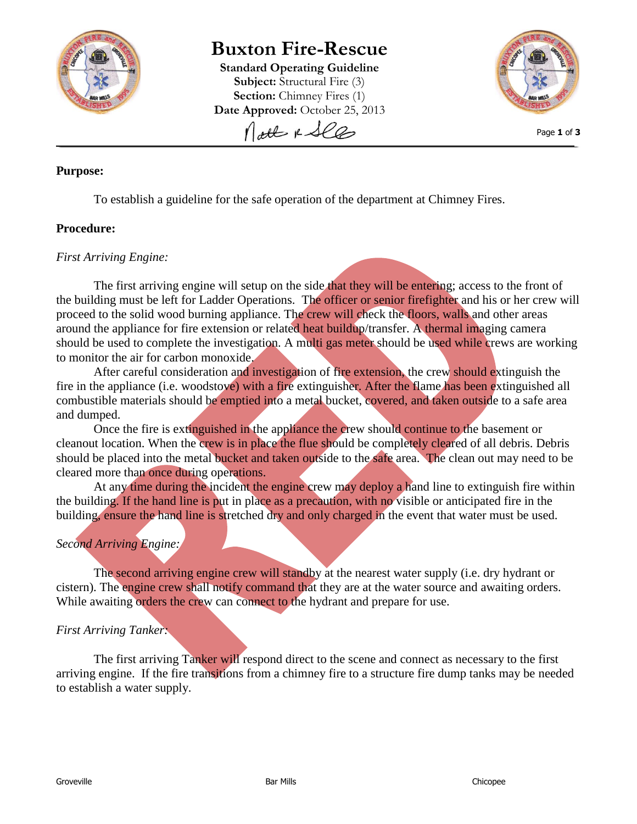

# **Buxton Fire-Rescue**

**Standard Operating Guideline Subject:** Structural Fire (3) **Section:** Chimney Fires (1) Date Approved: October 25, 2013 Nott & See



Page **1** of **3**

### **Purpose:**

To establish a guideline for the safe operation of the department at Chimney Fires.

#### **Procedure:**

#### *First Arriving Engine:*

The first arriving engine will setup on the side that they will be entering; access to the front of the building must be left for Ladder Operations. The officer or senior firefighter and his or her crew will proceed to the solid wood burning appliance. The crew will check the floors, walls and other areas around the appliance for fire extension or related heat buildup/transfer. A thermal imaging camera should be used to complete the investigation. A multi gas meter should be used while crews are working to monitor the air for carbon monoxide.

After careful consideration and investigation of fire extension, the crew should extinguish the fire in the appliance (i.e. woodstove) with a fire extinguisher. After the flame has been extinguished all combustible materials should be emptied into a metal bucket, covered, and taken outside to a safe area and dumped.

Once the fire is extinguished in the appliance the crew should continue to the basement or cleanout location. When the crew is in place the flue should be completely cleared of all debris. Debris should be placed into the metal bucket and taken outside to the safe area. The clean out may need to be cleared more than once during operations.

At any time during the incident the engine crew may deploy a hand line to extinguish fire within the building. If the hand line is put in place as a precaution, with no visible or anticipated fire in the building, ensure the hand line is stretched dry and only charged in the event that water must be used.

## *Second Arriving Engine:*

The second arriving engine crew will standby at the nearest water supply (i.e. dry hydrant or cistern). The engine crew shall notify command that they are at the water source and awaiting orders. While awaiting orders the crew can connect to the hydrant and prepare for use.

## *First Arriving Tanker:*

The first arriving Tanker will respond direct to the scene and connect as necessary to the first arriving engine. If the fire transitions from a chimney fire to a structure fire dump tanks may be needed to establish a water supply.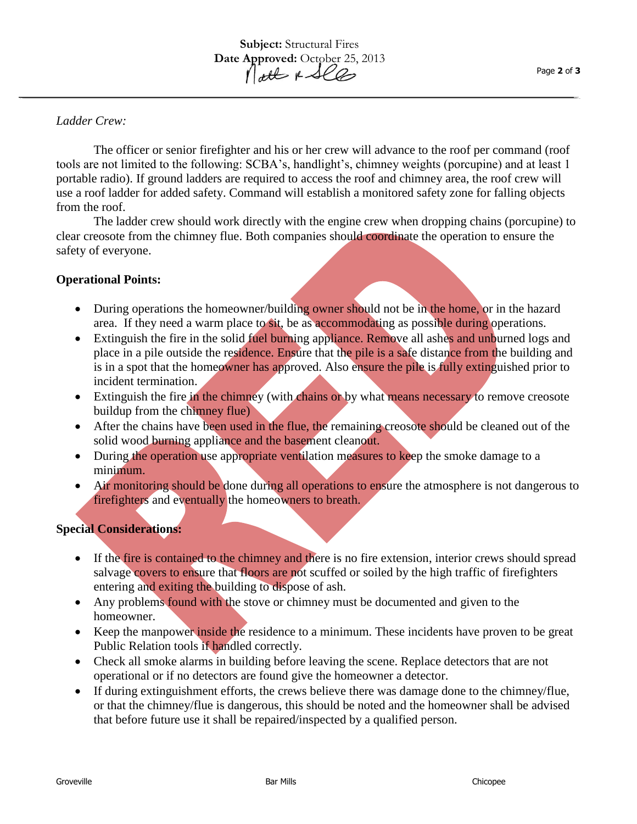## *Ladder Crew:*

The officer or senior firefighter and his or her crew will advance to the roof per command (roof tools are not limited to the following: SCBA's, handlight's, chimney weights (porcupine) and at least 1 portable radio). If ground ladders are required to access the roof and chimney area, the roof crew will use a roof ladder for added safety. Command will establish a monitored safety zone for falling objects from the roof.

The ladder crew should work directly with the engine crew when dropping chains (porcupine) to clear creosote from the chimney flue. Both companies should coordinate the operation to ensure the safety of everyone.

## **Operational Points:**

- During operations the homeowner/building owner should not be in the home, or in the hazard area. If they need a warm place to sit, be as accommodating as possible during operations.
- Extinguish the fire in the solid fuel burning appliance. Remove all ashes and unburned logs and place in a pile outside the residence. Ensure that the pile is a safe distance from the building and is in a spot that the homeowner has approved. Also ensure the pile is fully extinguished prior to incident termination.
- Extinguish the fire in the chimney (with chains or by what means necessary to remove creosote buildup from the chimney flue)
- After the chains have been used in the flue, the remaining creosote should be cleaned out of the solid wood burning appliance and the basement cleanout.
- During the operation use appropriate ventilation measures to keep the smoke damage to a minimum.
- Air monitoring should be done during all operations to ensure the atmosphere is not dangerous to firefighters and eventually the homeowners to breath.

## **Special Considerations:**

- If the fire is contained to the chimney and there is no fire extension, interior crews should spread salvage covers to ensure that floors are not scuffed or soiled by the high traffic of firefighters entering and exiting the building to dispose of ash.
- Any problems found with the stove or chimney must be documented and given to the homeowner.
- Keep the manpower *inside the residence to a minimum*. These incidents have proven to be great Public Relation tools if handled correctly.
- Check all smoke alarms in building before leaving the scene. Replace detectors that are not operational or if no detectors are found give the homeowner a detector.
- If during extinguishment efforts, the crews believe there was damage done to the chimney/flue, or that the chimney/flue is dangerous, this should be noted and the homeowner shall be advised that before future use it shall be repaired/inspected by a qualified person.